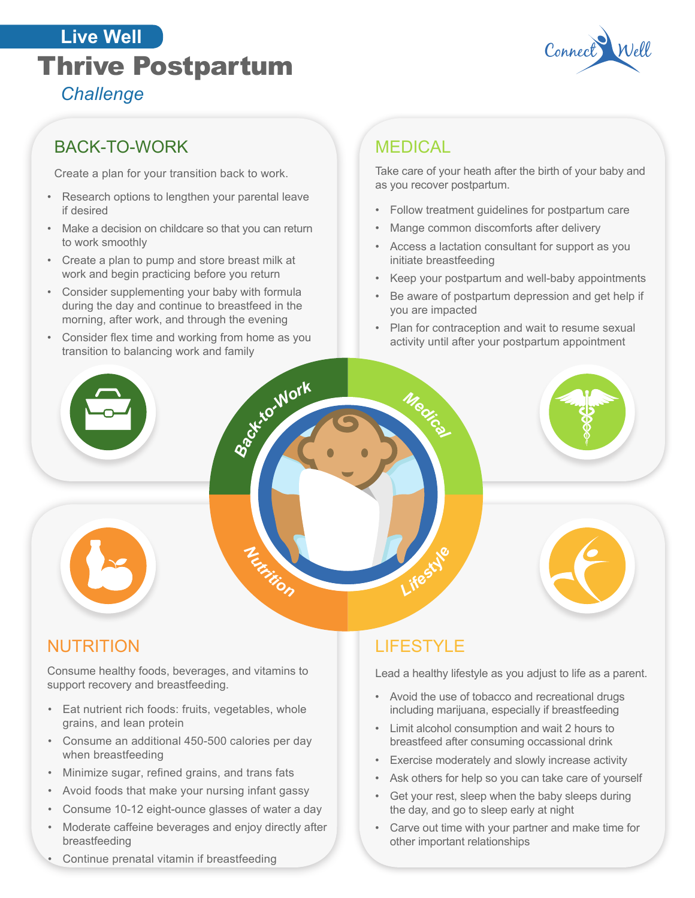## Thrive Postpartum Connect *Challenge* **Live Well**



## BACK-TO-WORK

Create a plan for your transition back to work.

- Research options to lengthen your parental leave if desired
- Make a decision on childcare so that you can return to work smoothly
- Create a plan to pump and store breast milk at work and begin practicing before you return
- Consider supplementing your baby with formula during the day and continue to breastfeed in the morning, after work, and through the evening
- Consider flex time and working from home as you transition to balancing work and family

## **MEDICAL**

Take care of your heath after the birth of your baby and as you recover postpartum.

- Follow treatment guidelines for postpartum care
- Mange common discomforts after delivery
- Access a lactation consultant for support as you initiate breastfeeding
- Keep your postpartum and well-baby appointments
- Be aware of postpartum depression and get help if you are impacted
- Plan for contraception and wait to resume sexual activity until after your postpartum appointment



## NUTRITION

Consume healthy foods, beverages, and vitamins to support recovery and breastfeeding.

- Eat nutrient rich foods: fruits, vegetables, whole grains, and lean protein
- Consume an additional 450-500 calories per day when breastfeeding
- Minimize sugar, refined grains, and trans fats
- Avoid foods that make your nursing infant gassy
- Consume 10-12 eight-ounce glasses of water a day
- Moderate caffeine beverages and enjoy directly after breastfeeding
- Continue prenatal vitamin if breastfeeding

## **LIFESTYLE**

Lead a healthy lifestyle as you adjust to life as a parent.

- Avoid the use of tobacco and recreational drugs including marijuana, especially if breastfeeding
- Limit alcohol consumption and wait 2 hours to breastfeed after consuming occassional drink
- Exercise moderately and slowly increase activity
- Ask others for help so you can take care of yourself
- Get your rest, sleep when the baby sleeps during the day, and go to sleep early at night
- Carve out time with your partner and make time for other important relationships